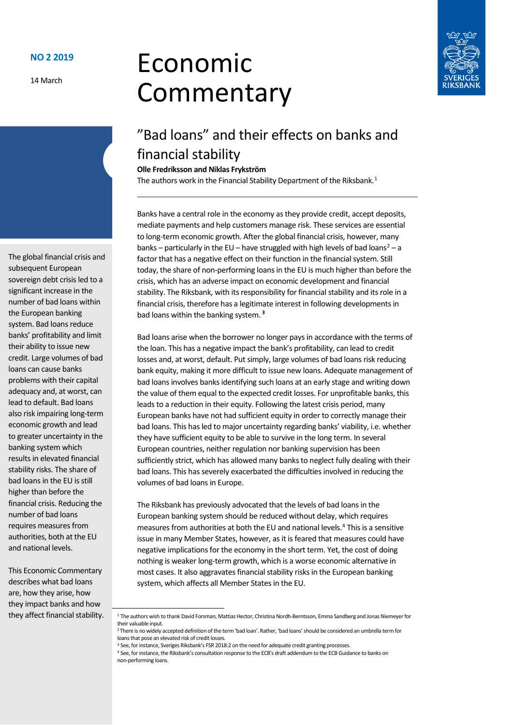14 March

# Economic Commentary



# "Bad loans" and their effects on banks and financial stability

**Olle Fredriksson and Niklas Frykström**

The authors work in the Financial Stability Department of the Riksbank.<sup>[1](#page-0-0)</sup>

Banks have a central role in the economy asthey provide credit, accept deposits, mediate payments and help customers manage risk. These services are essential to long-term economic growth. After the global financial crisis, however, many banks – particularly in the EU – have struggled with high levels of bad loans<sup>2</sup> – a factor that has a negative effect on their function in the financial system. Still today, the share of non-performing loans in the EU is much higher than before the crisis, which has an adverse impact on economic development and financial stability. The Riksbank, with its responsibility for financial stability and its role in a financial crisis, therefore has a legitimate interest in following developments in bad loans within the banking system. **[3](#page-0-2)**

Bad loans arise when the borrower no longer pays in accordance with the terms of the loan. This has a negative impact the bank's profitability, can lead to credit losses and, at worst, default. Put simply, large volumes of bad loans risk reducing bank equity, making it more difficult to issue new loans. Adequate management of bad loans involves banks identifying such loans at an early stage and writing down the value of them equal to the expected credit losses. For unprofitable banks, this leads to a reduction in their equity. Following the latest crisis period, many European banks have not had sufficient equity in order to correctly manage their bad loans. This has led to major uncertainty regarding banks' viability, i.e. whether they have sufficient equity to be able to survive in the long term. In several European countries, neither regulation nor banking supervision has been sufficiently strict, which has allowed many banks to neglect fully dealing with their bad loans. This has severely exacerbated the difficulties involved in reducing the volumes of bad loans in Europe.

The Riksbank has previously advocated that the levels of bad loans in the European banking system should be reduced without delay, which requires measures from authorities at both the EU and national levels[.4](#page-0-3) This is a sensitive issue in many Member States, however, as it is feared that measures could have negative implications for the economy in the short term. Yet, the cost of doing nothing is weaker long-term growth, which is a worse economic alternative in most cases. It also aggravates financial stability risks in the European banking system, which affects all Member States in the EU.

The global financial crisis and subsequent European sovereign debt crisis led to a significant increase in the number of bad loans within the European banking system. Bad loans reduce banks' profitability and limit their ability to issue new credit. Large volumes of bad loans can cause banks problems with their capital adequacy and, at worst, can lead to default. Bad loans also risk impairing long-term economic growth and lead to greater uncertainty in the banking system which results in elevated financial stability risks. The share of bad loans in the EU is still higher than before the financial crisis. Reducing the number of bad loans requires measures from authorities, both at the EU and national levels.

<span id="page-0-3"></span><span id="page-0-2"></span><span id="page-0-1"></span><span id="page-0-0"></span>This Economic Commentary describes what bad loans are, how they arise, how they impact banks and how they affect financial stability.

 <sup>1</sup> The authors wish to thank David Forsman, Mattias Hector, Christina Nordh-Berntsson, Emma Sandberg and Jonas Niemeyer for their valuable input.

<sup>2</sup> There is no widely accepted definition of the term 'bad loan'. Rather, 'bad loans' should be considered an umbrella term for loans that pose an elevated risk of credit losses.<br><sup>3</sup> See, for instance, Sveriges Riksbank's FSR 2018:2 on the need for adequate credit granting processes.

<sup>&</sup>lt;sup>4</sup> See, for instance, the Riksbank's consultation response to the ECB's draft addendum to the ECB Guidance to banks on non-performing loans.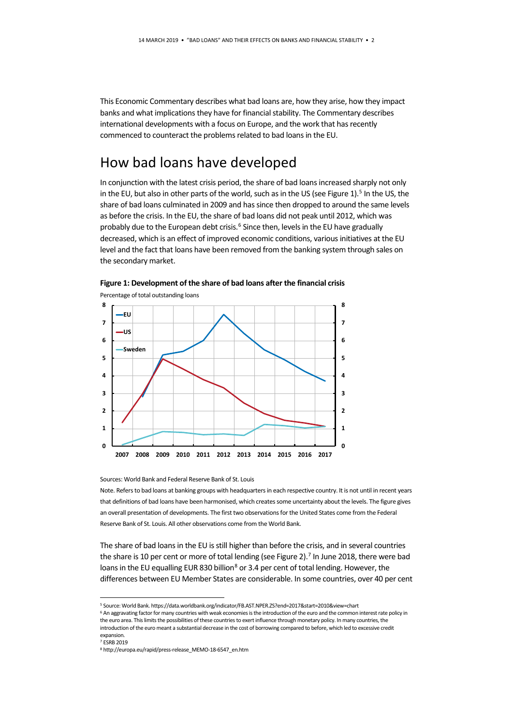This Economic Commentary describes what bad loans are, how they arise, how they impact banks and what implications they have for financial stability. The Commentary describes international developments with a focus on Europe, and the work that has recently commenced to counteract the problems related to bad loans in the EU.

#### How bad loans have developed

In conjunction with the latest crisis period, the share of bad loans increased sharply not only in the EU, but also in other parts of the world, such as in the US (see Figure 1).<sup>[5](#page-1-0)</sup> In the US, the share of bad loans culminated in 2009 and has since then dropped to around the same levels as before the crisis. In the EU, the share of bad loans did not peak until 2012, which was probably due to the European debt crisis.<sup>[6](#page-1-1)</sup> Since then, levels in the EU have gradually decreased, which is an effect of improved economic conditions, variousinitiatives at the EU level and the fact that loans have been removed from the banking system through sales on the secondary market.





Sources: World Bank and Federal Reserve Bank of St. Louis

Note. Refers to bad loans at banking groups with headquarters in each respective country. It is not until in recent years that definitions of bad loans have been harmonised, which creates some uncertainty about the levels. The figure gives an overall presentation of developments. The first two observations for the United States come from the Federal Reserve Bank of St. Louis. All other observations come from the World Bank.

The share of bad loans in the EU is still higher than before the crisis, and in several countries the share is 10 per cent or more of total lending (see Figure 2).<sup>[7](#page-1-2)</sup> In June 2018, there were bad loans in the EU equalling EUR 830 billion<sup>8</sup> or 3.4 per cent of total lending. However, the differences between EU Member States are considerable. In some countries, over 40 per cent

<span id="page-1-1"></span><span id="page-1-0"></span> <sup>5</sup> Source: World Bank. https://data.worldbank.org/indicator/FB.AST.NPER.ZS?end=2017&start=2010&view=chart

<sup>6</sup> An aggravating factor for many countries with weak economies is the introduction of the euro and the common interest rate policy in the euro area. This limits the possibilities of these countries to exert influence through monetary policy. In many countries, the introduction of the euro meant a substantial decrease in the cost of borrowing compared to before, which led to excessive credit expansion.

<span id="page-1-2"></span><sup>7</sup> ESRB 2019

<span id="page-1-3"></span><sup>8</sup> http://europa.eu/rapid/press-release\_MEMO-18-6547\_en.htm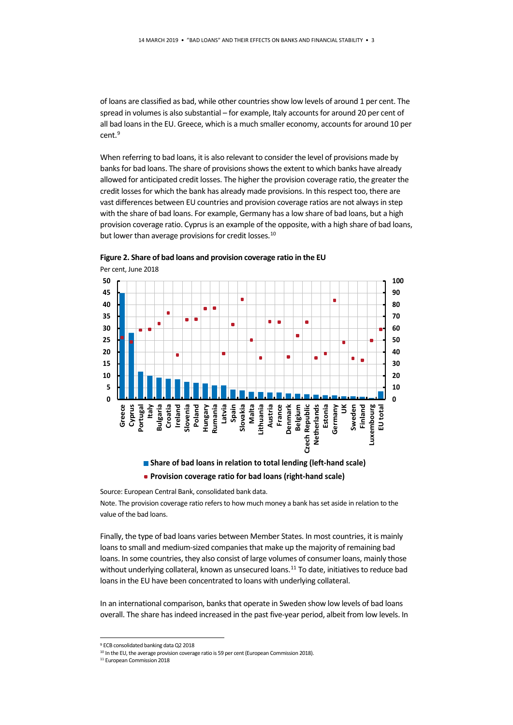of loans are classified as bad, while other countries show low levels of around 1 per cent. The spread in volumes is also substantial – for example, Italy accounts for around 20 per cent of all bad loans in the EU. Greece, which is a much smaller economy, accounts for around 10 per cent.<sup>[9](#page-2-0)</sup>

When referring to bad loans, it is also relevant to consider the level of provisions made by banks for bad loans. The share of provisions shows the extent to which banks have already allowed for anticipated credit losses. The higher the provision coverage ratio, the greater the credit losses for which the bank has already made provisions. In this respect too, there are vast differences between EU countries and provision coverage ratios are not always in step with the share of bad loans. For example, Germany has a low share of bad loans, but a high provision coverage ratio. Cyprus is an example of the opposite, with a high share of bad loans, but lower than average provisions for credit losses.<sup>[10](#page-2-1)</sup>



**Figure 2. Share of bad loans and provision coverage ratio in the EU** 

**Provision coverage ratio for bad loans (right-hand scale)**

Source: European Central Bank, consolidated bank data.

Note. The provision coverage ratio refers to how much money a bank has set aside in relation to the value of the bad loans.

Finally, the type of bad loans varies between Member States. In most countries, it is mainly loans to small and medium-sized companies that make up the majority of remaining bad loans. In some countries, they also consist of large volumes of consumer loans, mainly those without underlying collateral, known as unsecured loans.<sup>[11](#page-2-2)</sup> To date, initiatives to reduce bad loans in the EU have been concentrated to loans with underlying collateral.

In an international comparison, banks that operate in Sweden show low levels of bad loans overall. The share has indeed increased in the past five-year period, albeit from low levels. In

<span id="page-2-1"></span><span id="page-2-0"></span> <sup>9</sup> ECB consolidated banking data Q2 2018

<sup>&</sup>lt;sup>10</sup> In the EU, the average provision coverage ratio is 59 per cent (European Commission 2018).

<span id="page-2-2"></span><sup>11</sup> European Commission 2018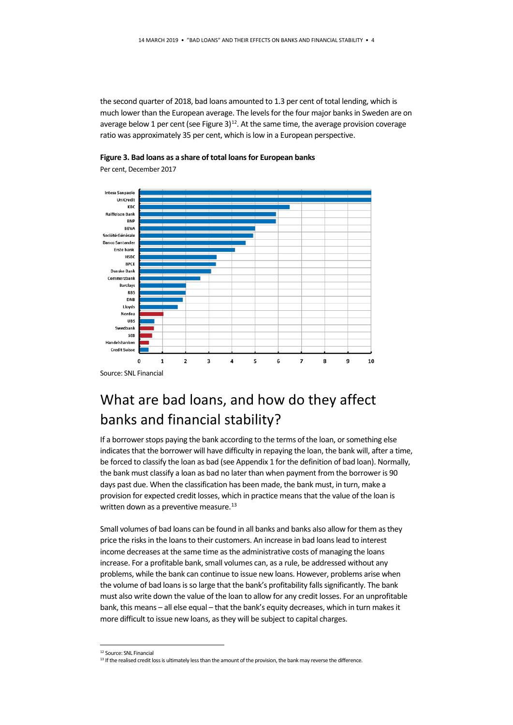the second quarter of 2018, bad loans amounted to 1.3 per cent of total lending, which is much lower than the European average. The levels for the four major banks in Sweden are on average below 1 per cent (see Figure 3) $^{12}$  $^{12}$  $^{12}$ . At the same time, the average provision coverage ratio was approximately 35 per cent, which is low in a European perspective.



**Figure 3. Bad loans as a share of total loans for European banks** 

Per cent, December 2017

# What are bad loans, and how do they affect banks and financial stability?

If a borrower stops paying the bank according to the terms of the loan, or something else indicates that the borrower will have difficulty in repaying the loan, the bank will, after a time, be forced to classify the loan as bad (see Appendix 1 for the definition of bad loan). Normally, the bank must classify a loan as bad no later than when payment from the borrower is 90 days past due. When the classification has been made, the bank must, in turn, make a provision for expected credit losses, which in practice means that the value of the loan is written down as a preventive measure. $^{13}$ 

Small volumes of bad loans can be found in all banks and banks also allow for them as they price the risks in the loans to their customers. An increase in bad loans lead to interest income decreases at the same time as the administrative costs of managing the loans increase. For a profitable bank, small volumes can, as a rule, be addressed without any problems, while the bank can continue to issue new loans. However, problems arise when the volume of bad loans is so large that the bank's profitability falls significantly. The bank must also write down the value of the loan to allow for any credit losses. For an unprofitable bank, this means – all else equal – that the bank's equity decreases, which in turn makes it more difficult to issue new loans, as they will be subject to capital charges.

 <sup>12</sup> Source: SNL Financial

<span id="page-3-1"></span><span id="page-3-0"></span><sup>&</sup>lt;sup>13</sup> If the realised credit loss is ultimately less than the amount of the provision, the bank may reverse the difference.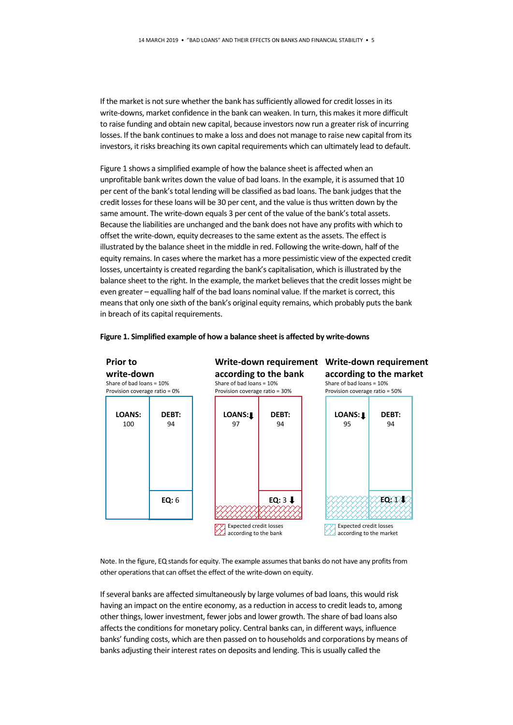If the market is not sure whether the bank has sufficiently allowed for credit losses in its write-downs, market confidence in the bank can weaken. In turn, this makes it more difficult to raise funding and obtain new capital, because investors now run a greater risk of incurring losses. If the bank continues to make a loss and does not manage to raise new capital from its investors, it risks breaching its own capital requirements which can ultimately lead to default.

Figure 1 shows a simplified example of how the balance sheet is affected when an unprofitable bank writes down the value of bad loans. In the example, it is assumed that 10 per cent of the bank's total lending will be classified as bad loans. The bank judges that the credit losses for these loans will be 30 per cent, and the value is thus written down by the same amount. The write-down equals 3 per cent of the value of the bank's total assets. Because the liabilities are unchanged and the bank does not have any profits with which to offset the write-down, equity decreases to the same extent as the assets. The effect is illustrated by the balance sheet in the middle in red. Following the write-down, half of the equity remains. In cases where the market has a more pessimistic view of the expected credit losses, uncertainty is created regarding the bank's capitalisation, which is illustrated by the balance sheet to the right. In the example, the market believes that the credit losses might be even greater – equalling half of the bad loans nominal value. If the market is correct, this means that only one sixth of the bank's original equity remains, which probably puts the bank in breach of its capital requirements.

#### **Figure 1. Simplified example of how a balance sheet is affected by write-downs**



Note. In the figure, EQ stands for equity. The example assumes that banks do not have any profits from other operations that can offset the effect of the write-down on equity.

If several banks are affected simultaneously by large volumes of bad loans, this would risk having an impact on the entire economy, as a reduction in access to credit leads to, among other things, lower investment, fewer jobs and lower growth. The share of bad loans also affects the conditions for monetary policy. Central banks can, in different ways, influence banks' funding costs, which are then passed on to households and corporations by means of banks adjusting their interest rates on deposits and lending. This is usually called the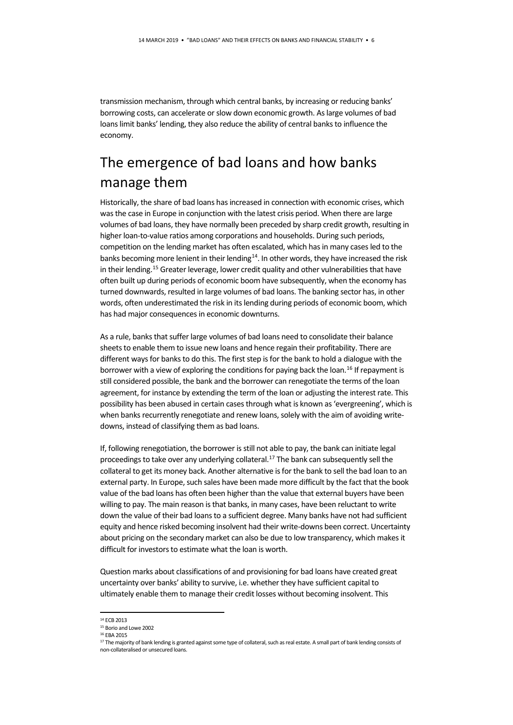transmission mechanism, through which central banks, by increasing or reducing banks' borrowing costs, can accelerate or slow down economic growth. As large volumes of bad loans limit banks' lending, they also reduce the ability of central banks to influence the economy.

# The emergence of bad loans and how banks manage them

Historically, the share of bad loans has increased in connection with economic crises, which was the case in Europe in conjunction with the latest crisis period. When there are large volumes of bad loans, they have normally been preceded by sharp credit growth, resulting in higher loan-to-value ratios among corporations and households. During such periods, competition on the lending market has often escalated, which has in many cases led to the banks becoming more lenient in their lending $14$ . In other words, they have increased the risk in their lending.<sup>15</sup> Greater leverage, lower credit quality and other vulnerabilities that have often built up during periods of economic boom have subsequently, when the economy has turned downwards, resulted in large volumes of bad loans. The banking sector has, in other words, often underestimated the risk in its lending during periods of economic boom, which has had major consequences in economic downturns.

As a rule, banks that suffer large volumes of bad loans need to consolidate their balance sheets to enable them to issue new loans and hence regain their profitability. There are different ways for banks to do this. The first step is for the bank to hold a dialogue with the borrower with a view of exploring the conditions for paying back the loan.<sup>[16](#page-5-2)</sup> If repayment is still considered possible, the bank and the borrower can renegotiate the terms of the loan agreement, for instance by extending the term of the loan or adjusting the interest rate. This possibility has been abused in certain cases through what is known as 'evergreening', which is when banks recurrently renegotiate and renew loans, solely with the aim of avoiding writedowns, instead of classifying them as bad loans.

If, following renegotiation, the borrower is still not able to pay, the bank can initiate legal proceedings to take over any underlying collateral.<sup>17</sup> The bank can subsequently sell the collateral to get its money back. Another alternative is for the bank to sell the bad loan to an external party. In Europe, such sales have been made more difficult by the fact that the book value of the bad loans has often been higher than the value that external buyers have been willing to pay. The main reason is that banks, in many cases, have been reluctant to write down the value of their bad loans to a sufficient degree. Many banks have not had sufficient equity and hence risked becoming insolvent had their write-downs been correct. Uncertainty about pricing on the secondary market can also be due to low transparency, which makes it difficult for investors to estimate what the loan is worth.

Question marks about classifications of and provisioning for bad loans have created great uncertainty over banks' ability to survive, i.e. whether they have sufficient capital to ultimately enable them to manage their credit losses without becoming insolvent. This

<span id="page-5-0"></span> <sup>14</sup> ECB 2013

<span id="page-5-1"></span><sup>15</sup> Borio and Lowe 2002

<span id="page-5-2"></span><sup>16</sup> EBA 2015

<span id="page-5-3"></span><sup>17</sup> The majority of bank lending is granted against some type of collateral, such as real estate. A small part of bank lending consists of non-collateralised or unsecured loans.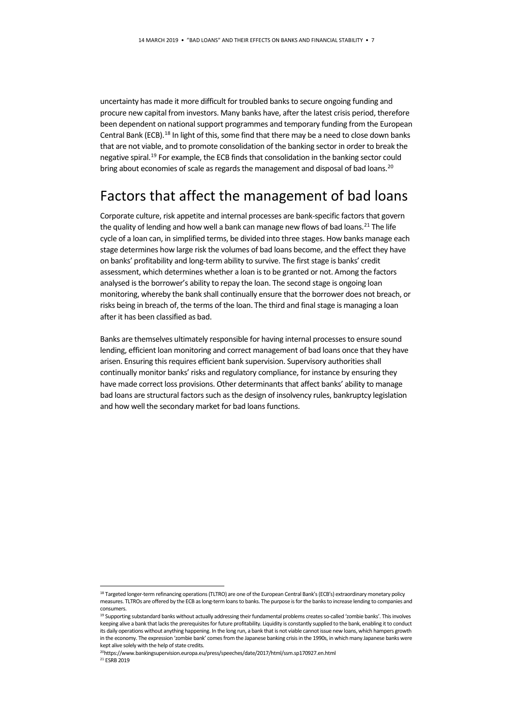uncertainty has made it more difficult for troubled banks to secure ongoing funding and procure new capital from investors. Many banks have, after the latest crisis period, therefore been dependent on national support programmes and temporary funding from the European Central Bank (ECB).<sup>[18](#page-6-0)</sup> In light of this, some find that there may be a need to close down banks that are not viable, and to promote consolidation of the banking sector in order to break the negative spiral[.19](#page-6-1) For example, the ECB finds that consolidation in the banking sector could bring about economies of scale as regards the management and disposal of bad loans.<sup>20</sup>

#### Factors that affect the management of bad loans

Corporate culture, risk appetite and internal processes are bank-specific factors that govern the quality of lending and how well a bank can manage new flows of bad loans.<sup>[21](#page-6-3)</sup> The life cycle of a loan can, in simplified terms, be divided into three stages. How banks manage each stage determines how large risk the volumes of bad loans become, and the effect they have on banks' profitability and long-term ability to survive. The first stage is banks' credit assessment, which determines whether a loan is to be granted or not. Among the factors analysed is the borrower's ability to repay the loan. The second stage is ongoing loan monitoring, whereby the bank shall continually ensure that the borrower does not breach, or risks being in breach of, the terms of the loan. The third and final stage is managing a loan after it has been classified as bad.

Banks are themselves ultimately responsible for having internal processes to ensure sound lending, efficient loan monitoring and correct management of bad loans once that they have arisen. Ensuring this requires efficient bank supervision. Supervisory authorities shall continually monitor banks' risks and regulatory compliance, for instance by ensuring they have made correct loss provisions. Other determinants that affect banks' ability to manage bad loans are structural factors such as the design of insolvency rules, bankruptcy legislation and how well the secondary market for bad loans functions.

<span id="page-6-0"></span><sup>18</sup> Targeted longer-term refinancing operations (TLTRO) are one of the European Central Bank's (ECB's) extraordinary monetary policy measures. TLTROs are offered by the ECB as long-term loans to banks. The purpose is for the banks to increase lending to companies and consumers.

<span id="page-6-1"></span><sup>19</sup> Supporting substandard banks without actually addressing their fundamental problems creates so-called 'zombie banks'. This involves keeping alive a bank that lacks the prerequisites for future profitability. Liquidity is constantly supplied to the bank, enabling it to conduct its daily operations without anything happening. In the long run, a bank that is not viable cannot issue new loans, which hampers growth in the economy. The expression 'zombie bank' comes from the Japanese banking crisis in the 1990s, in which many Japanese banks were kept alive solely with the help of state credits.

<span id="page-6-3"></span><span id="page-6-2"></span><sup>20</sup>https://www.bankingsupervision.europa.eu/press/speeches/date/2017/html/ssm.sp170927.en.html <sup>21</sup> ESRB 2019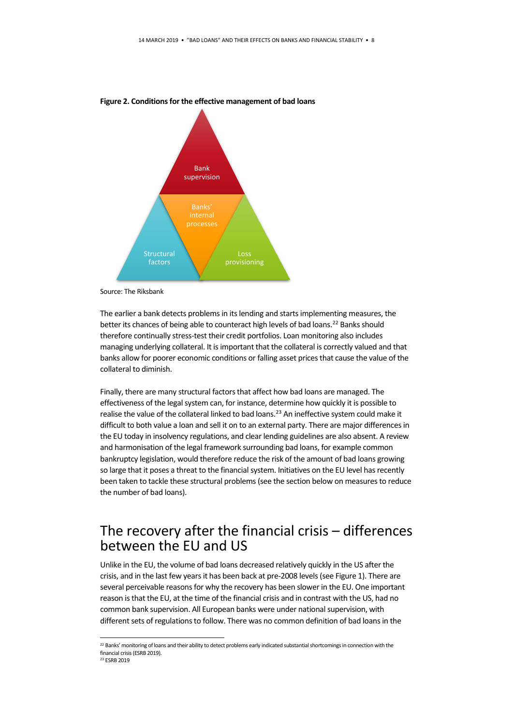

**Figure 2. Conditions for the effective management of bad loans**

The earlier a bank detects problems in its lending and starts implementing measures, the better its chances of being able to counteract high levels of bad loans.<sup>[22](#page-7-0)</sup> Banks should therefore continually stress-test their credit portfolios. Loan monitoring also includes managing underlying collateral. It is important that the collateral is correctly valued and that banks allow for poorer economic conditions or falling asset prices that cause the value of the collateral to diminish.

Finally, there are many structural factors that affect how bad loans are managed. The effectiveness of the legal system can, for instance, determine how quickly it is possible to realise the value of the collateral linked to bad loans.<sup>23</sup> An ineffective system could make it difficult to both value a loan and sell it on to an external party. There are major differences in the EU today in insolvency regulations, and clear lending guidelines are also absent. A review and harmonisation of the legal framework surrounding bad loans, for example common bankruptcy legislation, would therefore reduce the risk of the amount of bad loans growing so large that it poses a threat to the financial system. Initiatives on the EU level has recently been taken to tackle these structural problems (see the section below on measures to reduce the number of bad loans).

#### The recovery after the financial crisis – differences between the EU and US

Unlike in the EU, the volume of bad loans decreased relatively quickly in the US after the crisis, and in the last few years it has been back at pre-2008 levels (see Figure 1). There are several perceivable reasons for why the recovery has been slower in the EU. One important reason is that the EU, at the time of the financial crisis and in contrast with the US, had no common bank supervision. All European banks were under national supervision, with different sets of regulations to follow. There was no common definition of bad loans in the

Source: The Riksbank

<span id="page-7-1"></span><span id="page-7-0"></span><sup>&</sup>lt;sup>22</sup> Banks' monitoring of loans and their ability to detect problems early indicated substantial shortcomings in connection with the financial crisis (ESRB 2019). <sup>23</sup> ESRB 2019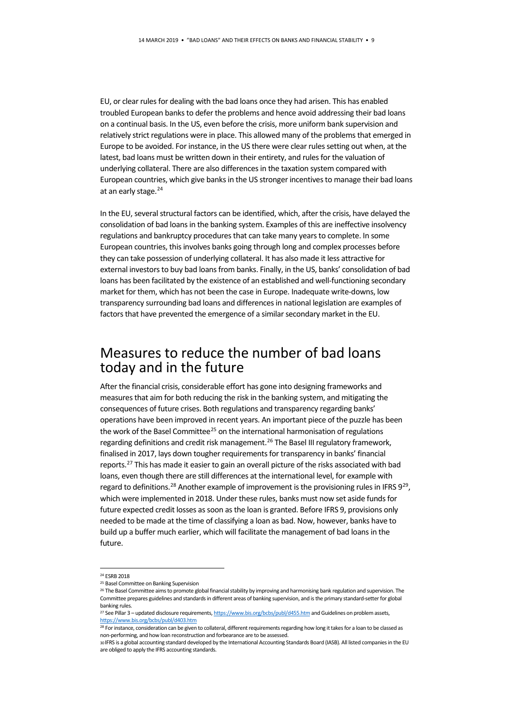EU, or clear rules for dealing with the bad loans once they had arisen. This has enabled troubled European banks to defer the problems and hence avoid addressing their bad loans on a continual basis. In the US, even before the crisis, more uniform bank supervision and relatively strict regulations were in place. This allowed many of the problems that emerged in Europe to be avoided. For instance, in the US there were clear rules setting out when, at the latest, bad loans must be written down in their entirety, and rules for the valuation of underlying collateral. There are also differences in the taxation system compared with European countries, which give banks in the US stronger incentives to manage their bad loans at an early stage.<sup>[24](#page-8-0)</sup>

In the EU, several structural factors can be identified, which, after the crisis, have delayed the consolidation of bad loans in the banking system. Examples of this are ineffective insolvency regulations and bankruptcy procedures that can take many years to complete. In some European countries, this involves banks going through long and complex processes before they can take possession of underlying collateral. It has also made it less attractive for external investors to buy bad loans from banks. Finally, in the US, banks' consolidation of bad loans has been facilitated by the existence of an established and well-functioning secondary market for them, which has not been the case in Europe. Inadequate write-downs, low transparency surrounding bad loans and differences in national legislation are examples of factors that have prevented the emergence of a similar secondary market in the EU.

#### Measures to reduce the number of bad loans today and in the future

After the financial crisis, considerable effort has gone into designing frameworks and measures that aim for both reducing the risk in the banking system, and mitigating the consequences of future crises. Both regulations and transparency regarding banks' operations have been improved in recent years. An important piece of the puzzle has been the work of the Basel Committee<sup>[25](#page-8-1)</sup> on the international harmonisation of regulations regarding definitions and credit risk management.[26](#page-8-2) The Basel III regulatory framework, finalised in 2017, lays down tougher requirements for transparency in banks' financial reports.<sup>27</sup> This has made it easier to gain an overall picture of the risks associated with bad loans, even though there are still differences at the international level, for example with regard to definitions.<sup>[28](#page-8-4)</sup> Another example of improvement is the provisioning rules in IFRS  $9^{29}$ , which were implemented in 2018. Under these rules, banks must now set aside funds for future expected credit losses as soon as the loan is granted. Before IFRS 9, provisions only needed to be made at the time of classifying a loan as bad. Now, however, banks have to build up a buffer much earlier, which will facilitate the management of bad loans in the future.

<span id="page-8-0"></span> <sup>24</sup> ESRB 2018

<sup>25</sup> Basel Committee on Banking Supervision

<span id="page-8-2"></span><span id="page-8-1"></span><sup>26</sup> The Basel Committee aims to promote global financial stability by improving and harmonising bank regulation and supervision. The Committee prepares guidelines and standards in different areas of banking supervision, and is the primary standard-setter for global banking rules.

<span id="page-8-3"></span><sup>&</sup>lt;sup>27</sup> See Pillar 3 – updated disclosure requirements, https://www.bis.org/bcbs/publ/d455.htm and Guidelines on problem assets, <https://www.bis.org/bcbs/publ/d403.htm>

<span id="page-8-4"></span><sup>&</sup>lt;sup>28</sup> For instance, consideration can be given to collateral, different requirements regarding how long it takes for a loan to be classed as non-performing, and how loan reconstruction and forbearance are to be assessed.

<span id="page-8-5"></span><sup>30</sup> IFRS is a global accounting standard developed by the International Accounting Standards Board (IASB). All listed companies in the EU are obliged to apply the IFRS accounting standards.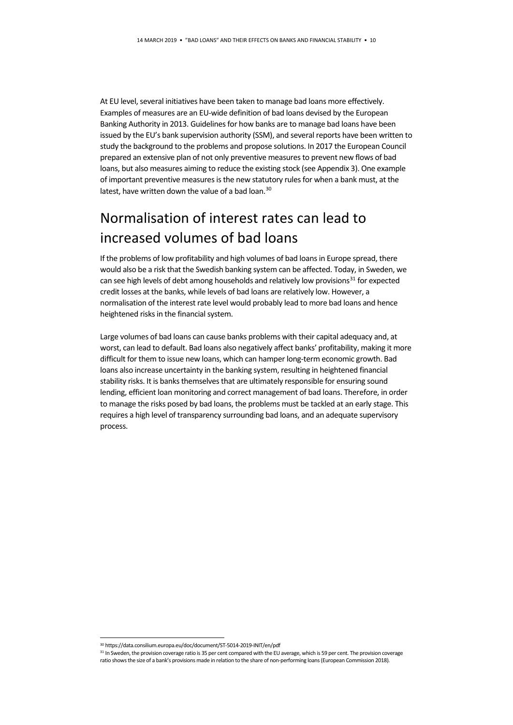At EU level, several initiatives have been taken to manage bad loans more effectively. Examples of measures are an EU-wide definition of bad loans devised by the European Banking Authority in 2013. Guidelines for how banks are to manage bad loans have been issued by the EU's bank supervision authority (SSM), and several reports have been written to study the background to the problems and propose solutions. In 2017 the European Council prepared an extensive plan of not only preventive measures to prevent new flows of bad loans, but also measures aiming to reduce the existing stock (see Appendix 3). One example of important preventive measures is the new statutory rules for when a bank must, at the latest, have written down the value of a bad loan.<sup>[30](#page-9-0)</sup>

# Normalisation of interest rates can lead to increased volumes of bad loans

If the problems of low profitability and high volumes of bad loans in Europe spread, there would also be a risk that the Swedish banking system can be affected. Today, in Sweden, we can see high levels of debt among households and relatively low provisions $31$  for expected credit losses at the banks, while levels of bad loans are relatively low. However, a normalisation of the interest rate level would probably lead to more bad loans and hence heightened risks in the financial system.

Large volumes of bad loans can cause banks problems with their capital adequacy and, at worst, can lead to default. Bad loans also negatively affect banks' profitability, making it more difficult for them to issue new loans, which can hamper long-term economic growth. Bad loans also increase uncertainty in the banking system, resulting in heightened financial stability risks. It is banks themselves that are ultimately responsible for ensuring sound lending, efficient loan monitoring and correct management of bad loans. Therefore, in order to manage the risks posed by bad loans, the problems must be tackled at an early stage. This requires a high level of transparency surrounding bad loans, and an adequate supervisory process.

<span id="page-9-0"></span> <sup>30</sup> https://data.consilium.europa.eu/doc/document/ST-5014-2019-INIT/en/pdf

<span id="page-9-1"></span><sup>31</sup> In Sweden, the provision coverage ratio is 35 per cent compared with the EU average, which is 59 per cent. The provision coverage ratio shows the size of a bank's provisions made in relation to the share of non-performing loans(European Commission 2018).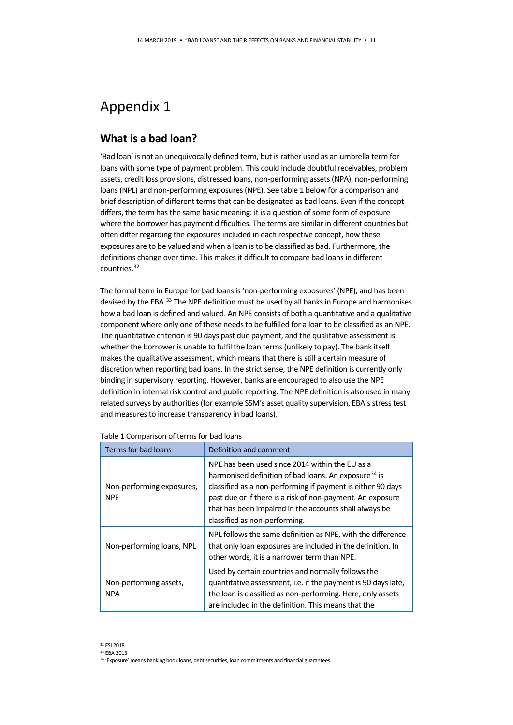# Appendix 1

#### **What is a bad loan?**

'Bad loan' is not an unequivocally defined term, but is rather used as an umbrella term for loans with some type of payment problem. This could include doubtful receivables, problem assets, credit loss provisions, distressed loans, non-performing assets (NPA), non-performing loans (NPL) and non-performing exposures (NPE). See table 1 below for a comparison and brief description of different terms that can be designated as bad loans. Even if the concept differs, the term has the same basic meaning: it is a question of some form of exposure where the borrower has payment difficulties. The terms are similar in different countries but often differ regarding the exposures included in each respective concept, how these exposures are to be valued and when a loan is to be classified as bad. Furthermore, the definitions change over time. This makes it difficult to compare bad loans in different countries[.32](#page-10-0)

The formal term in Europe for bad loans is 'non-performing exposures' (NPE), and has been devised by the EBA. $^{33}$  $^{33}$  $^{33}$  The NPE definition must be used by all banks in Europe and harmonises how a bad loan is defined and valued. An NPE consists of both a quantitative and a qualitative component where only one of these needs to be fulfilled for a loan to be classified as an NPE. The quantitative criterion is 90 days past due payment, and the qualitative assessment is whether the borrower is unable to fulfil the loan terms (unlikely to pay). The bank itself makes the qualitative assessment, which means that there is still a certain measure of discretion when reporting bad loans. In the strict sense, the NPE definition is currently only binding in supervisory reporting. However, banks are encouraged to also use the NPE definition in internal risk control and public reporting. The NPE definition is also used in many related surveys by authorities (for example SSM's asset quality supervision, EBA's stress test and measures to increase transparency in bad loans).

| Terms for bad loans                     | Definition and comment                                                                                                                                                                                                                                                                                                                      |  |
|-----------------------------------------|---------------------------------------------------------------------------------------------------------------------------------------------------------------------------------------------------------------------------------------------------------------------------------------------------------------------------------------------|--|
| Non-performing exposures,<br><b>NPE</b> | NPE has been used since 2014 within the EU as a<br>harmonised definition of bad loans. An exposure <sup>34</sup> is<br>classified as a non-performing if payment is either 90 days<br>past due or if there is a risk of non-payment. An exposure<br>that has been impaired in the accounts shall always be<br>classified as non-performing. |  |
| Non-performing loans, NPL               | NPL follows the same definition as NPE, with the difference<br>that only loan exposures are included in the definition. In<br>other words, it is a narrower term than NPE.                                                                                                                                                                  |  |
| Non-performing assets,<br><b>NPA</b>    | Used by certain countries and normally follows the<br>quantitative assessment, i.e. if the payment is 90 days late,<br>the loan is classified as non-performing. Here, only assets<br>are included in the definition. This means that the                                                                                                   |  |

<span id="page-10-0"></span> <sup>32</sup> FSI 2018

<sup>33</sup> EBA 2013

<span id="page-10-2"></span><span id="page-10-1"></span><sup>&</sup>lt;sup>34</sup> 'Exposure' means banking book loans, debt securities, loan commitments and financial guarantees.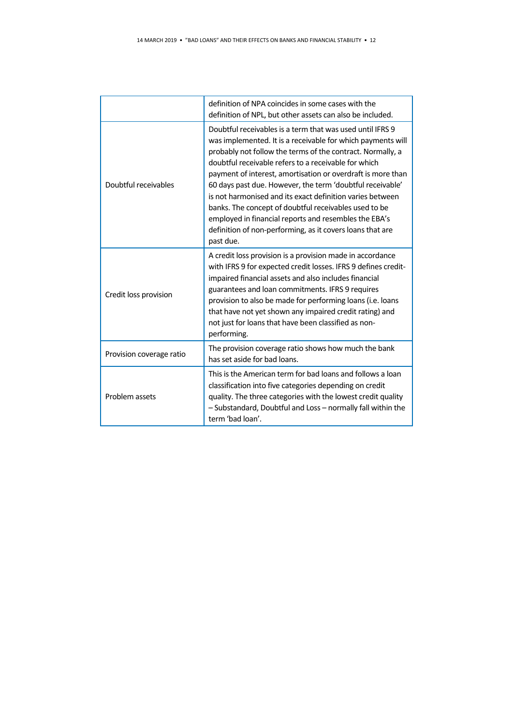|                          | definition of NPA coincides in some cases with the<br>definition of NPL, but other assets can also be included.                                                                                                                                                                                                                                                                                                                                                                                                                                                                                                                     |  |
|--------------------------|-------------------------------------------------------------------------------------------------------------------------------------------------------------------------------------------------------------------------------------------------------------------------------------------------------------------------------------------------------------------------------------------------------------------------------------------------------------------------------------------------------------------------------------------------------------------------------------------------------------------------------------|--|
| Doubtful receivables     | Doubtful receivables is a term that was used until IFRS 9<br>was implemented. It is a receivable for which payments will<br>probably not follow the terms of the contract. Normally, a<br>doubtful receivable refers to a receivable for which<br>payment of interest, amortisation or overdraft is more than<br>60 days past due. However, the term 'doubtful receivable'<br>is not harmonised and its exact definition varies between<br>banks. The concept of doubtful receivables used to be<br>employed in financial reports and resembles the EBA's<br>definition of non-performing, as it covers loans that are<br>past due. |  |
| Credit loss provision    | A credit loss provision is a provision made in accordance<br>with IFRS 9 for expected credit losses. IFRS 9 defines credit-<br>impaired financial assets and also includes financial<br>guarantees and loan commitments. IFRS 9 requires<br>provision to also be made for performing loans (i.e. loans<br>that have not yet shown any impaired credit rating) and<br>not just for loans that have been classified as non-<br>performing.                                                                                                                                                                                            |  |
| Provision coverage ratio | The provision coverage ratio shows how much the bank<br>has set aside for bad loans.                                                                                                                                                                                                                                                                                                                                                                                                                                                                                                                                                |  |
| Problem assets           | This is the American term for bad loans and follows a loan<br>classification into five categories depending on credit<br>quality. The three categories with the lowest credit quality<br>- Substandard, Doubtful and Loss - normally fall within the<br>term 'bad loan'.                                                                                                                                                                                                                                                                                                                                                            |  |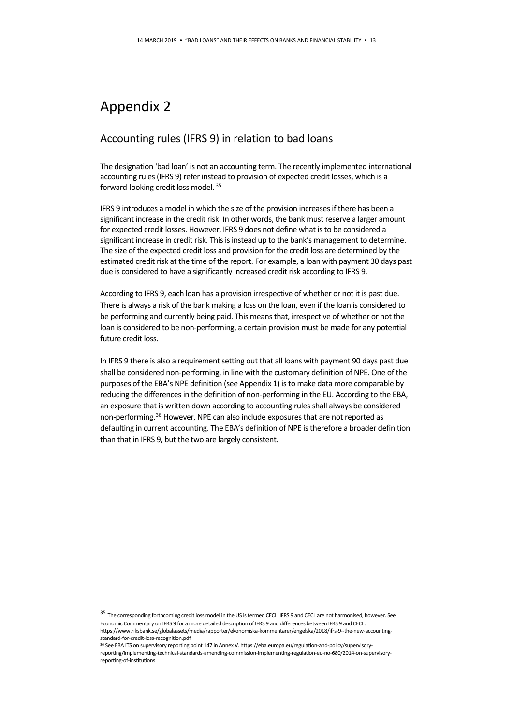### Appendix 2

#### Accounting rules (IFRS 9) in relation to bad loans

The designation 'bad loan' is not an accounting term. The recently implemented international accounting rules (IFRS 9) refer instead to provision of expected credit losses, which is a forward-looking credit loss model. [35](#page-12-0)

IFRS 9 introduces a model in which the size of the provision increases if there has been a significant increase in the credit risk. In other words, the bank must reserve a larger amount for expected credit losses. However, IFRS 9 does not define what is to be considered a significant increase in credit risk. This is instead up to the bank's management to determine. The size of the expected credit loss and provision for the credit loss are determined by the estimated credit risk at the time of the report. For example, a loan with payment 30 days past due is considered to have a significantly increased credit risk according to IFRS 9.

According to IFRS 9, each loan has a provision irrespective of whether or not it is past due. There is always a risk of the bank making a loss on the loan, even if the loan is considered to be performing and currently being paid. This means that, irrespective of whether or not the loan is considered to be non-performing, a certain provision must be made for any potential future credit loss.

In IFRS 9 there is also a requirement setting out that all loans with payment 90 days past due shall be considered non-performing, in line with the customary definition of NPE. One of the purposes of the EBA's NPE definition (see Appendix 1) is to make data more comparable by reducing the differences in the definition of non-performing in the EU. According to the EBA, an exposure that is written down according to accounting rules shall always be considered non-performing.<sup>[36](#page-12-1)</sup> However, NPE can also include exposures that are not reported as defaulting in current accounting. The EBA's definition of NPE is therefore a broader definition than that in IFRS 9, but the two are largely consistent.

<span id="page-12-0"></span> <sup>35</sup> The corresponding forthcoming credit loss model in the US is termed CECL. IFRS 9 and CECL are not harmonised, however. See Economic Commentary on IFRS 9 for a more detailed description of IFRS 9 and differences between IFRS 9 and CECL: https://www.riksbank.se/globalassets/media/rapporter/ekonomiska-kommentarer/engelska/2018/ifrs-9--the-new-accountingstandard-for-credit-loss-recognition.pdf

<span id="page-12-1"></span><sup>36</sup> See EBA ITS on supervisory reporting point 147 in Annex V. https://eba.europa.eu/regulation-and-policy/supervisoryreporting/implementing-technical-standards-amending-commission-implementing-regulation-eu-no-680/2014-on-supervisoryreporting-of-institutions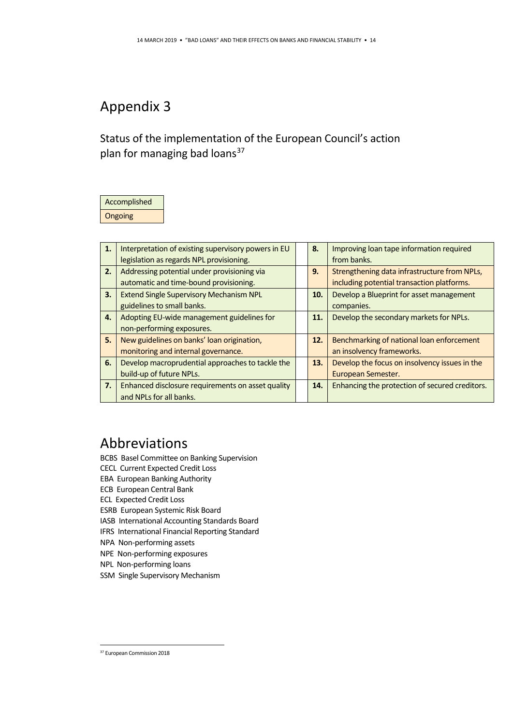# Appendix 3

Status of the implementation of the European Council's action plan for managing bad loans<sup>[37](#page-13-0)</sup>

# Accomplished

Ongoing

| 1. | Interpretation of existing supervisory powers in EU |  | 8.  | Improving loan tape information required       |
|----|-----------------------------------------------------|--|-----|------------------------------------------------|
|    | legislation as regards NPL provisioning.            |  |     | from banks.                                    |
| 2. | Addressing potential under provisioning via         |  | 9.  | Strengthening data infrastructure from NPLs,   |
|    | automatic and time-bound provisioning.              |  |     | including potential transaction platforms.     |
| 3. | <b>Extend Single Supervisory Mechanism NPL</b>      |  | 10. | Develop a Blueprint for asset management       |
|    | guidelines to small banks.                          |  |     | companies.                                     |
| 4. | Adopting EU-wide management guidelines for          |  | 11. | Develop the secondary markets for NPLs.        |
|    | non-performing exposures.                           |  |     |                                                |
| 5. | New guidelines on banks' loan origination,          |  | 12. | Benchmarking of national loan enforcement      |
|    | monitoring and internal governance.                 |  |     | an insolvency frameworks.                      |
| 6. | Develop macroprudential approaches to tackle the    |  | 13. | Develop the focus on insolvency issues in the  |
|    | build-up of future NPLs.                            |  |     | European Semester.                             |
| 7. | Enhanced disclosure requirements on asset quality   |  | 14. | Enhancing the protection of secured creditors. |
|    | and NPLs for all banks.                             |  |     |                                                |

### Abbreviations

BCBS Basel Committee on Banking Supervision

- CECL Current Expected Credit Loss
- EBA European Banking Authority
- ECB European Central Bank
- ECL Expected Credit Loss

ESRB European Systemic Risk Board

- IASB International Accounting Standards Board
- IFRS International Financial Reporting Standard
- NPA Non-performing assets
- NPE Non-performing exposures
- NPL Non-performing loans
- SSM Single Supervisory Mechanism

<span id="page-13-0"></span> <sup>37</sup> European Commission 2018